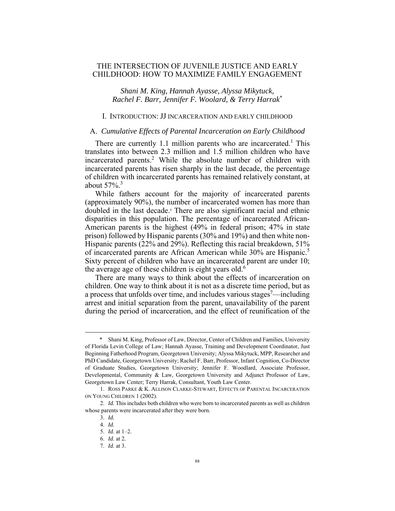# THE INTERSECTION OF JUVENILE JUSTICE AND EARLY CHILDHOOD: HOW TO MAXIMIZE FAMILY ENGAGEMENT

*Shani M. King, Hannah Ayasse, Alyssa Mikytuck, Rachel F. Barr, Jennifer F. Woolard, & Terry Harrak*\*

### I. INTRODUCTION: JJ INCARCERATION AND EARLY CHILDHOOD

# A. *Cumulative Effects of Parental Incarceration on Early Childhood*

There are currently 1.1 million parents who are incarcerated.<sup>1</sup> This translates into between 2.3 million and 1.5 million children who have incarcerated parents.<sup>2</sup> While the absolute number of children with incarcerated parents has risen sharply in the last decade, the percentage of children with incarcerated parents has remained relatively constant, at about  $57\%$ <sup>3</sup>

While fathers account for the majority of incarcerated parents (approximately 90%), the number of incarcerated women has more than doubled in the last decade.4 There are also significant racial and ethnic disparities in this population. The percentage of incarcerated African-American parents is the highest (49% in federal prison; 47% in state prison) followed by Hispanic parents (30% and 19%) and then white non-Hispanic parents (22% and 29%). Reflecting this racial breakdown, 51% of incarcerated parents are African American while 30% are Hispanic.<sup>5</sup> Sixty percent of children who have an incarcerated parent are under 10; the average age of these children is eight years old.<sup>6</sup>

There are many ways to think about the effects of incarceration on children. One way to think about it is not as a discrete time period, but as a process that unfolds over time, and includes various stages<sup>7</sup>—including arrest and initial separation from the parent, unavailability of the parent during the period of incarceration, and the effect of reunification of the

 <sup>\*</sup> Shani M. King, Professor of Law, Director, Center of Children and Families, University of Florida Levin College of Law; Hannah Ayasse, Training and Development Coordinator, Just Beginning Fatherhood Program, Georgetown University; Alyssa Mikytuck, MPP, Researcher and PhD Candidate, Georgetown University; Rachel F. Barr, Professor, Infant Cognition, Co-Director of Graduate Studies, Georgetown University; Jennifer F. Woodlard, Associate Professor, Developmental, Community & Law, Georgetown University and Adjunct Professor of Law, Georgetown Law Center; Terry Harrak, Consultant, Youth Law Center.

 <sup>1.</sup> ROSS PARKE & K. ALLISON CLARKE-STEWART, EFFECTS OF PARENTAL INCARCERATION ON YOUNG CHILDREN 1 (2002).

 <sup>2.</sup> *Id.* This includes both children who were born to incarcerated parents as well as children whose parents were incarcerated after they were born.

 <sup>3.</sup> *Id.* 

 <sup>4.</sup> *Id.*

 <sup>5.</sup> *Id.* at 1–2.

 <sup>6.</sup> *Id.* at 2.

 <sup>7.</sup> *Id.* at 3.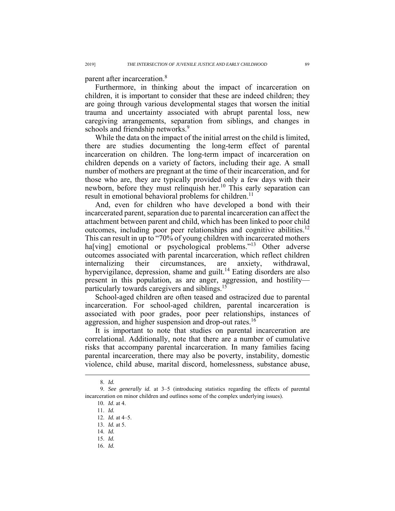parent after incarceration.8

Furthermore, in thinking about the impact of incarceration on children, it is important to consider that these are indeed children; they are going through various developmental stages that worsen the initial trauma and uncertainty associated with abrupt parental loss, new caregiving arrangements, separation from siblings, and changes in schools and friendship networks.<sup>9</sup>

While the data on the impact of the initial arrest on the child is limited, there are studies documenting the long-term effect of parental incarceration on children. The long-term impact of incarceration on children depends on a variety of factors, including their age. A small number of mothers are pregnant at the time of their incarceration, and for those who are, they are typically provided only a few days with their newborn, before they must relinquish her.<sup>10</sup> This early separation can result in emotional behavioral problems for children.<sup>11</sup>

And, even for children who have developed a bond with their incarcerated parent, separation due to parental incarceration can affect the attachment between parent and child, which has been linked to poor child outcomes, including poor peer relationships and cognitive abilities.<sup>12</sup> This can result in up to "70% of young children with incarcerated mothers ha[ving] emotional or psychological problems."<sup>13</sup> Other adverse outcomes associated with parental incarceration, which reflect children internalizing their circumstances, are anxiety, withdrawal, hypervigilance, depression, shame and guilt.<sup>14</sup> Eating disorders are also present in this population, as are anger, aggression, and hostility particularly towards caregivers and siblings.15

School-aged children are often teased and ostracized due to parental incarceration. For school-aged children, parental incarceration is associated with poor grades, poor peer relationships, instances of aggression, and higher suspension and drop-out rates.<sup>16</sup>

It is important to note that studies on parental incarceration are correlational. Additionally, note that there are a number of cumulative risks that accompany parental incarceration. In many families facing parental incarceration, there may also be poverty, instability, domestic violence, child abuse, marital discord, homelessness, substance abuse,

 <sup>8.</sup> *Id.*

 <sup>9.</sup> *See generally id.* at 3–5 (introducing statistics regarding the effects of parental incarceration on minor children and outlines some of the complex underlying issues).

 <sup>10.</sup> *Id*. at 4.

 <sup>11.</sup> *Id.* 

 <sup>12.</sup> *Id.* at 4–5.

 <sup>13.</sup> *Id.* at 5.

 <sup>14.</sup> *Id.* 

 <sup>15.</sup> *Id.*

 <sup>16.</sup> *Id.*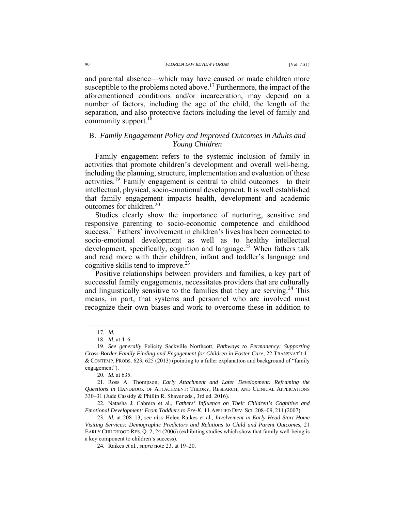and parental absence—which may have caused or made children more susceptible to the problems noted above.<sup>17</sup> Furthermore, the impact of the aforementioned conditions and/or incarceration, may depend on a number of factors, including the age of the child, the length of the separation, and also protective factors including the level of family and community support.<sup>18</sup>

# B. *Family Engagement Policy and Improved Outcomes in Adults and Young Children*

Family engagement refers to the systemic inclusion of family in activities that promote children's development and overall well-being, including the planning, structure, implementation and evaluation of these activities.19 Family engagement is central to child outcomes—to their intellectual, physical, socio-emotional development. It is well established that family engagement impacts health, development and academic outcomes for children.<sup>20</sup>

Studies clearly show the importance of nurturing, sensitive and responsive parenting to socio-economic competence and childhood success.<sup>21</sup> Fathers' involvement in children's lives has been connected to socio-emotional development as well as to healthy intellectual development, specifically, cognition and language.<sup>22</sup> When fathers talk and read more with their children, infant and toddler's language and cognitive skills tend to improve.<sup>23</sup>

Positive relationships between providers and families, a key part of successful family engagements, necessitates providers that are culturally and linguistically sensitive to the families that they are serving.<sup>24</sup> This means, in part, that systems and personnel who are involved must recognize their own biases and work to overcome these in addition to

 <sup>17.</sup> *Id.*

 <sup>18.</sup> *Id.* at 4–6.

 <sup>19.</sup> *See generally* Felicity Sackville Northcott, *Pathways to Permanency: Supporting Cross-Border Family Finding and Engagement for Children in Foster Care*, 22 TRANSNAT'L L. & CONTEMP. PROBS. 623, 625 (2013) (pointing to a fuller explanation and background of "family engagement").

 <sup>20.</sup> *Id.* at 635.

 <sup>21.</sup> Ross A. Thompson, *Early Attachment and Later Development: Reframing the Questions in* HANDBOOK OF ATTACHMENT: THEORY, RESEARCH, AND CLINICAL APPLICATIONS 330–31 (Jude Cassidy & Phillip R. Shaver eds., 3rd ed. 2016).

 <sup>22.</sup> Natasha J. Cabrera et al., *Fathers' Influence on Their Children's Cognitive and Emotional Development: From Toddlers to Pre-K*, 11 APPLIED DEV. SCI. 208–09, 211 (2007).

 <sup>23.</sup> *Id.* at 208–13; *see also* Helen Raikes et al., *Involvement in Early Head Start Home Visiting Services: Demographic Predictors and Relations to Child and Parent Outcomes*, 21 EARLY CHILDHOOD RES. Q. 2, 24 (2006) (exhibiting studies which show that family well-being is a key component to children's success).

 <sup>24.</sup> Raikes et al., *supra* note 23, at 19–20.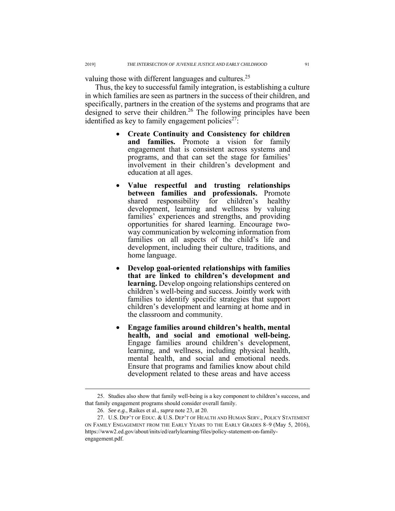valuing those with different languages and cultures.<sup>25</sup>

Thus, the key to successful family integration, is establishing a culture in which families are seen as partners in the success of their children, and specifically, partners in the creation of the systems and programs that are designed to serve their children.<sup>26</sup> The following principles have been identified as key to family engagement policies<sup>27</sup>:

- **Create Continuity and Consistency for children and families.** Promote a vision for family engagement that is consistent across systems and programs, and that can set the stage for families' involvement in their children's development and education at all ages.
- **Value respectful and trusting relationships between families and professionals.** Promote shared responsibility for children's healthy development, learning and wellness by valuing families' experiences and strengths, and providing opportunities for shared learning. Encourage twoway communication by welcoming information from families on all aspects of the child's life and development, including their culture, traditions, and home language.
- **Develop goal-oriented relationships with families that are linked to children's development and learning.** Develop ongoing relationships centered on children's well-being and success. Jointly work with families to identify specific strategies that support children's development and learning at home and in the classroom and community.
- **Engage families around children's health, mental health, and social and emotional well-being.** Engage families around children's development, learning, and wellness, including physical health, mental health, and social and emotional needs. Ensure that programs and families know about child development related to these areas and have access

 <sup>25.</sup> Studies also show that family well-being is a key component to children's success, and that family engagement programs should consider overall family.

 <sup>26.</sup> *See e.g.*, Raikes et al., *supra* note 23, at 20.

 <sup>27.</sup> U.S. DEP'T OF EDUC. & U.S. DEP'T OF HEALTH AND HUMAN SERV., POLICY STATEMENT ON FAMILY ENGAGEMENT FROM THE EARLY YEARS TO THE EARLY GRADES 8–9 (May 5, 2016), https://www2.ed.gov/about/inits/ed/earlylearning/files/policy-statement-on-familyengagement.pdf.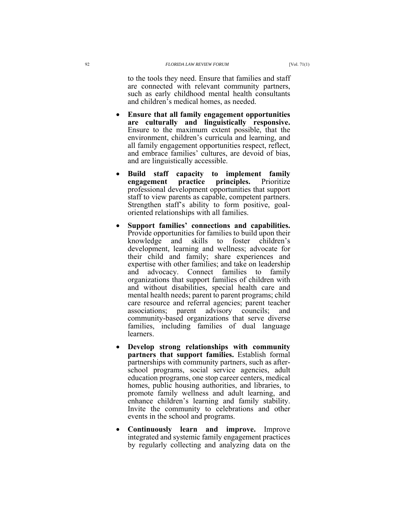to the tools they need. Ensure that families and staff are connected with relevant community partners, such as early childhood mental health consultants and children's medical homes, as needed.

- **Ensure that all family engagement opportunities are culturally and linguistically responsive.**  Ensure to the maximum extent possible, that the environment, children's curricula and learning, and all family engagement opportunities respect, reflect, and embrace families' cultures, are devoid of bias, and are linguistically accessible.
- **Build staff capacity to implement family engagement practice principles.** Prioritize professional development opportunities that support staff to view parents as capable, competent partners. Strengthen staff's ability to form positive, goaloriented relationships with all families.
- **Support families' connections and capabilities.** Provide opportunities for families to build upon their knowledge and skills to foster children's development, learning and wellness; advocate for their child and family; share experiences and expertise with other families; and take on leadership and advocacy. Connect families to family organizations that support families of children with and without disabilities, special health care and mental health needs; parent to parent programs; child care resource and referral agencies; parent teacher associations; parent advisory councils; and community-based organizations that serve diverse families, including families of dual language learners.
- **Develop strong relationships with community partners that support families.** Establish formal partnerships with community partners, such as afterschool programs, social service agencies, adult education programs, one stop career centers, medical homes, public housing authorities, and libraries, to promote family wellness and adult learning, and enhance children's learning and family stability. Invite the community to celebrations and other events in the school and programs.
- **Continuously learn and improve.** Improve integrated and systemic family engagement practices by regularly collecting and analyzing data on the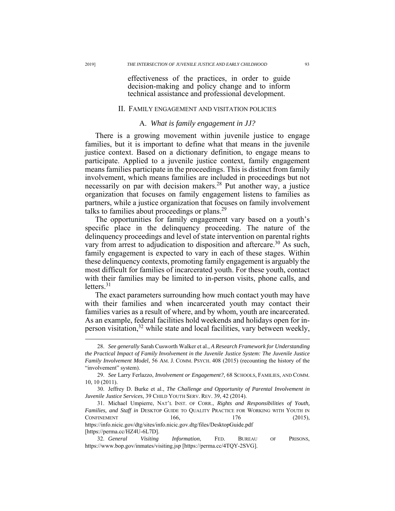effectiveness of the practices, in order to guide decision-making and policy change and to inform technical assistance and professional development.

### II. FAMILY ENGAGEMENT AND VISITATION POLICIES

### A. *What is family engagement in JJ?*

There is a growing movement within juvenile justice to engage families, but it is important to define what that means in the juvenile justice context. Based on a dictionary definition, to engage means to participate. Applied to a juvenile justice context, family engagement means families participate in the proceedings. This is distinct from family involvement, which means families are included in proceedings but not necessarily on par with decision makers.<sup>28</sup> Put another way, a justice organization that focuses on family engagement listens to families as partners, while a justice organization that focuses on family involvement talks to families about proceedings or plans.<sup>29</sup>

The opportunities for family engagement vary based on a youth's specific place in the delinquency proceeding. The nature of the delinquency proceedings and level of state intervention on parental rights vary from arrest to adjudication to disposition and aftercare.<sup>30</sup> As such, family engagement is expected to vary in each of these stages. Within these delinquency contexts, promoting family engagement is arguably the most difficult for families of incarcerated youth. For these youth, contact with their families may be limited to in-person visits, phone calls, and letters. $31$ 

The exact parameters surrounding how much contact youth may have with their families and when incarcerated youth may contact their families varies as a result of where, and by whom, youth are incarcerated. As an example, federal facilities hold weekends and holidays open for inperson visitation, $32$  while state and local facilities, vary between weekly,

 <sup>28.</sup> *See generally* Sarah Cusworth Walker et al., *A Research Framework for Understanding the Practical Impact of Family Involvement in the Juvenile Justice System: The Juvenile Justice Family Involvement Model*, 56 AM. J. COMM. PSYCH. 408 (2015) (recounting the history of the "involvement" system).

 <sup>29.</sup> *See* Larry Ferlazzo, *Involvement or Engagement?*, 68 SCHOOLS, FAMILIES, AND COMM. 10, 10 (2011).

 <sup>30.</sup> Jeffrey D. Burke et al., *The Challenge and Opportunity of Parental Involvement in Juvenile Justice Services*, 39 CHILD YOUTH SERV. REV. 39, 42 (2014).

 <sup>31.</sup> Michael Umpierre, NAT'L INST. OF CORR., *Rights and Responsibilities of Youth, Families, and Staff in* DESKTOP GUIDE TO QUALITY PRACTICE FOR WORKING WITH YOUTH IN  $\text{CONFINEMENT}$  166, 176 (2015), https://info.nicic.gov/dtg/sites/info.nicic.gov.dtg/files/DesktopGuide.pdf [https://perma.cc/HZ4U-6L7D].

 <sup>32.</sup> *General Visiting Information*, FED. BUREAU OF PRISONS, https://www.bop.gov/inmates/visiting.jsp [https://perma.cc/4TQY-2SVG].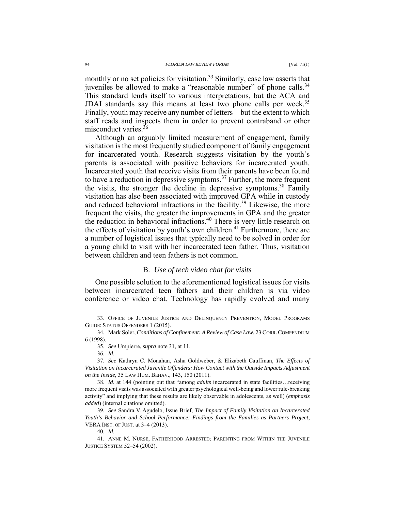monthly or no set policies for visitation.<sup>33</sup> Similarly, case law asserts that juveniles be allowed to make a "reasonable number" of phone calls.<sup>34</sup> This standard lends itself to various interpretations, but the ACA and JDAI standards say this means at least two phone calls per week.<sup>35</sup> Finally, youth may receive any number of letters—but the extent to which staff reads and inspects them in order to prevent contraband or other misconduct varies.<sup>36</sup>

Although an arguably limited measurement of engagement, family visitation is the most frequently studied component of family engagement for incarcerated youth. Research suggests visitation by the youth's parents is associated with positive behaviors for incarcerated youth. Incarcerated youth that receive visits from their parents have been found to have a reduction in depressive symptoms.<sup>37</sup> Further, the more frequent the visits, the stronger the decline in depressive symptoms.<sup>38</sup> Family visitation has also been associated with improved GPA while in custody and reduced behavioral infractions in the facility.<sup>39</sup> Likewise, the more frequent the visits, the greater the improvements in GPA and the greater the reduction in behavioral infractions.40 There is very little research on the effects of visitation by youth's own children.<sup>41</sup> Furthermore, there are a number of logistical issues that typically need to be solved in order for a young child to visit with her incarcerated teen father. Thus, visitation between children and teen fathers is not common.

# B. *Use of tech video chat for visits*

One possible solution to the aforementioned logistical issues for visits between incarcerated teen fathers and their children is via video conference or video chat. Technology has rapidly evolved and many

40. *Id*.

 <sup>33.</sup> OFFICE OF JUVENILE JUSTICE AND DELINQUENCY PREVENTION, MODEL PROGRAMS GUIDE: STATUS OFFENDERS 1 (2015).

 <sup>34.</sup> Mark Soler, *Conditions of Confinement: A Review of Case Law*, 23 CORR.COMPENDIUM 6 (1998).

 <sup>35.</sup> *See* Umpierre, *supra* note 31, at 11.

 <sup>36.</sup> *Id*.

 <sup>37.</sup> *See* Kathryn C. Monahan, Asha Goldweber, & Elizabeth Cauffman, *The Effects of Visitation on Incarcerated Juvenile Offenders: How Contact with the Outside Impacts Adjustment on the Inside*, 35 LAW HUM. BEHAV., 143, 150 (2011).

 <sup>38.</sup> *Id*. at 144 (pointing out that "among *adults* incarcerated in state facilities…receiving more frequent visits was associated with greater psychological well-being and lower rule-breaking activity" and implying that these results are likely observable in adolescents, as well) (*emphasis added*) (internal citations omitted).

 <sup>39.</sup> *See* Sandra V. Agudelo, Issue Brief, *The Impact of Family Visitation on Incarcerated Youth's Behavior and School Performance: Findings from the Families as Partners Project*, VERA INST. OF JUST. at 3–4 (2013).

 <sup>41.</sup> ANNE M. NURSE, FATHERHOOD ARRESTED: PARENTING FROM WITHIN THE JUVENILE JUSTICE SYSTEM 52–54 (2002).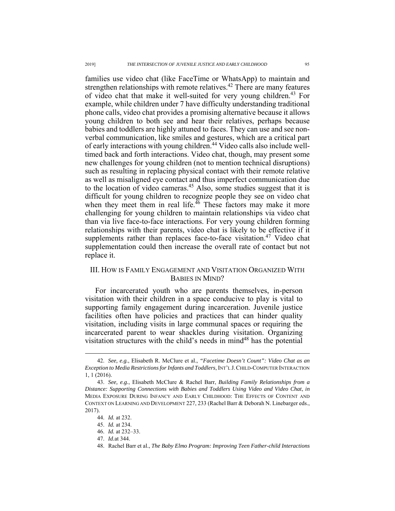families use video chat (like FaceTime or WhatsApp) to maintain and strengthen relationships with remote relatives.<sup>42</sup> There are many features of video chat that make it well-suited for very young children.<sup>43</sup> For example, while children under 7 have difficulty understanding traditional phone calls, video chat provides a promising alternative because it allows young children to both see and hear their relatives, perhaps because babies and toddlers are highly attuned to faces. They can use and see nonverbal communication, like smiles and gestures, which are a critical part of early interactions with young children.44 Video calls also include welltimed back and forth interactions. Video chat, though, may present some new challenges for young children (not to mention technical disruptions) such as resulting in replacing physical contact with their remote relative as well as misaligned eye contact and thus imperfect communication due to the location of video cameras.<sup>45</sup> Also, some studies suggest that it is difficult for young children to recognize people they see on video chat when they meet them in real life. $^{46}$  These factors may make it more challenging for young children to maintain relationships via video chat than via live face-to-face interactions. For very young children forming relationships with their parents, video chat is likely to be effective if it supplements rather than replaces face-to-face visitation.<sup>47</sup> Video chat supplementation could then increase the overall rate of contact but not replace it.

# III. HOW IS FAMILY ENGAGEMENT AND VISITATION ORGANIZED WITH BABIES IN MIND?

For incarcerated youth who are parents themselves, in-person visitation with their children in a space conducive to play is vital to supporting family engagement during incarceration. Juvenile justice facilities often have policies and practices that can hinder quality visitation, including visits in large communal spaces or requiring the incarcerated parent to wear shackles during visitation. Organizing visitation structures with the child's needs in  $mind<sup>48</sup>$  has the potential

 <sup>42.</sup> *See, e.g.*, Elisabeth R. McClure et al., *"Facetime Doesn't Count": Video Chat as an Exception to Media Restrictions for Infants and Toddlers*, INT'L J.CHILD-COMPUTER INTERACTION 1, 1 (2016).

 <sup>43.</sup> *See, e.g.*, Elisabeth McClure & Rachel Barr, *Building Family Relationships from a Distance: Supporting Connections with Babies and Toddlers Using Video and Video Chat*, *in* MEDIA EXPOSURE DURING INFANCY AND EARLY CHILDHOOD: THE EFFECTS OF CONTENT AND CONTEXT ON LEARNING AND DEVELOPMENT 227, 233 (Rachel Barr & Deborah N. Linebarger eds., 2017).

 <sup>44.</sup> *Id.* at 232.

 <sup>45.</sup> *Id.* at 234.

 <sup>46.</sup> *Id.* at 232–33.

 <sup>47.</sup> *Id.*at 344.

 <sup>48.</sup> Rachel Barr et al., *The Baby Elmo Program: Improving Teen Father-child Interactions*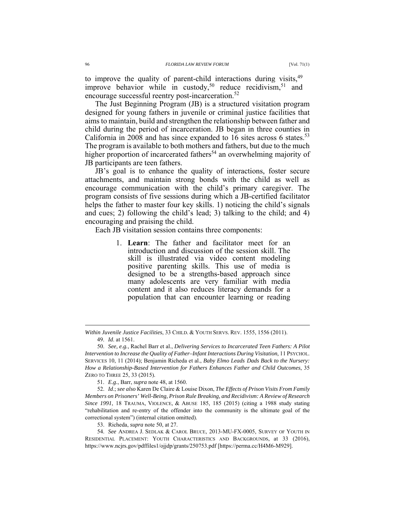to improve the quality of parent-child interactions during visits,<sup>49</sup> improve behavior while in custody,<sup>50</sup> reduce recidivism,<sup>51</sup> and encourage successful reentry post-incarceration.<sup>52</sup>

The Just Beginning Program (JB) is a structured visitation program designed for young fathers in juvenile or criminal justice facilities that aims to maintain, build and strengthen the relationship between father and child during the period of incarceration. JB began in three counties in California in 2008 and has since expanded to 16 sites across 6 states.<sup>53</sup> The program is available to both mothers and fathers, but due to the much higher proportion of incarcerated fathers<sup>54</sup> an overwhelming majority of JB participants are teen fathers.

JB's goal is to enhance the quality of interactions, foster secure attachments, and maintain strong bonds with the child as well as encourage communication with the child's primary caregiver. The program consists of five sessions during which a JB-certified facilitator helps the father to master four key skills. 1) noticing the child's signals and cues; 2) following the child's lead; 3) talking to the child; and 4) encouraging and praising the child.

Each JB visitation session contains three components:

1. **Learn**: The father and facilitator meet for an introduction and discussion of the session skill. The skill is illustrated via video content modeling positive parenting skills. This use of media is designed to be a strengths-based approach since many adolescents are very familiar with media content and it also reduces literacy demands for a population that can encounter learning or reading

 $\overline{a}$ 

*Within Juvenile Justice Facilities*, 33 CHILD. & YOUTH SERVS. REV. 1555, 1556 (2011). 49. *Id*. at 1561.

 <sup>50.</sup> *See, e.g.*, Rachel Barr et al., *Delivering Services to Incarcerated Teen Fathers: A Pilot Intervention to Increase the Quality of Father–Infant Interactions During Visitation*, 11 PSYCHOL. SERVICES 10, 11 (2014); Benjamin Richeda et al., *Baby Elmo Leads Dads Back to the Nursery: How a Relationship-Based Intervention for Fathers Enhances Father and Child Outcomes*, 35 ZERO TO THREE 25, 33 (2015).

 <sup>51.</sup> *E.g.*, Barr, *supra* note 48, at 1560.

 <sup>52.</sup> *Id*.; *see also* Karen De Claire & Louise Dixon, *The Effects of Prison Visits From Family Members on Prisoners' Well-Being, Prison Rule Breaking, and Recidivism: A Review of Research Since 1991*, 18 TRAUMA, VIOLENCE, & ABUSE 185, 185 (2015) (citing a 1988 study stating "rehabilitation and re-entry of the offender into the community is the ultimate goal of the correctional system") (internal citation omitted).

 <sup>53.</sup> Richeda, *supra* note 50, at 27.

 <sup>54.</sup> *See* ANDREA J. SEDLAK & CAROL BRUCE, 2013-MU-FX-0005, SURVEY OF YOUTH IN RESIDENTIAL PLACEMENT: YOUTH CHARACTERISTICS AND BACKGROUNDS, at 33 (2016), https://www.ncjrs.gov/pdffiles1/ojjdp/grants/250753.pdf [https://perma.cc/H4M6-M929].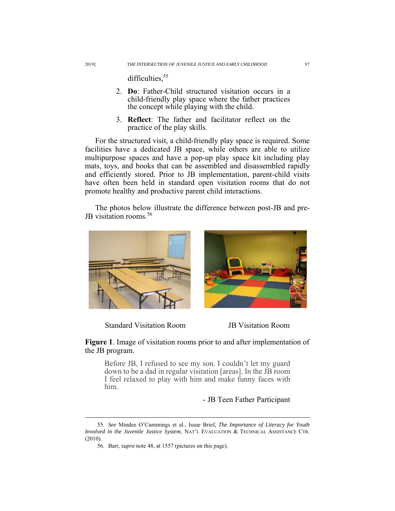difficulties,<sup>55</sup>

- 2. **Do**: Father-Child structured visitation occurs in a child-friendly play space where the father practices the concept while playing with the child.
- 3. **Reflect**: The father and facilitator reflect on the practice of the play skills.

For the structured visit, a child-friendly play space is required. Some facilities have a dedicated JB space, while others are able to utilize multipurpose spaces and have a pop-up play space kit including play mats, toys, and books that can be assembled and disassembled rapidly and efficiently stored. Prior to JB implementation, parent-child visits have often been held in standard open visitation rooms that do not promote healthy and productive parent child interactions.

The photos below illustrate the difference between post-JB and pre-JB visitation rooms.<sup>56</sup>



Standard Visitation Room JB Visitation Room

**Figure 1**. Image of visitation rooms prior to and after implementation of the JB program.

Before JB, I refused to see my son. I couldn't let my guard down to be a dad in regular visitation [areas]. In the JB room I feel relaxed to play with him and make funny faces with him.

## - JB Teen Father Participant

 <sup>55.</sup> *See* Mindee O'Cummings et al., Issue Brief, *The Importance of Literacy for Youth Involved in the Juvenile Justice System*, NAT'L EVALUATION & TECHNICAL ASSISTANCE CTR. (2010).

 <sup>56.</sup> Barr, *supra* note 48, at 1557 (pictures on this page).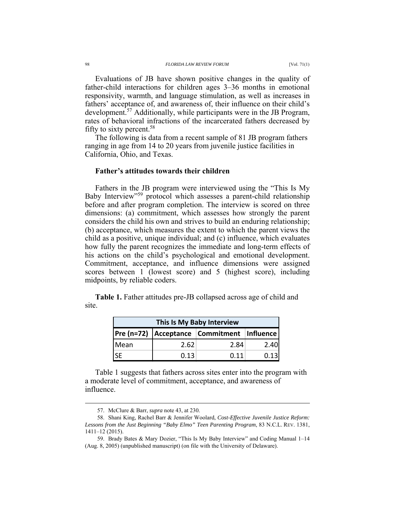### 98 *FLORIDA LAW REVIEW FORUM* [Vol. 71(1)

Evaluations of JB have shown positive changes in the quality of father-child interactions for children ages 3–36 months in emotional responsivity, warmth, and language stimulation, as well as increases in fathers' acceptance of, and awareness of, their influence on their child's development.<sup>57</sup> Additionally, while participants were in the JB Program, rates of behavioral infractions of the incarcerated fathers decreased by fifty to sixty percent.58

The following is data from a recent sample of 81 JB program fathers ranging in age from 14 to 20 years from juvenile justice facilities in California, Ohio, and Texas.

## **Father's attitudes towards their children**

Fathers in the JB program were interviewed using the "This Is My Baby Interview"59 protocol which assesses a parent-child relationship before and after program completion. The interview is scored on three dimensions: (a) commitment, which assesses how strongly the parent considers the child his own and strives to build an enduring relationship; (b) acceptance, which measures the extent to which the parent views the child as a positive, unique individual; and (c) influence, which evaluates how fully the parent recognizes the immediate and long-term effects of his actions on the child's psychological and emotional development. Commitment, acceptance, and influence dimensions were assigned scores between 1 (lowest score) and 5 (highest score), including midpoints, by reliable coders.

**Table 1.** Father attitudes pre-JB collapsed across age of child and site.

| This Is My Baby Interview |      |                                            |      |  |  |  |
|---------------------------|------|--------------------------------------------|------|--|--|--|
|                           |      | Pre (n=72) Acceptance Commitment Influence |      |  |  |  |
| Mean                      | 2.62 | 2.84                                       | 2.40 |  |  |  |
|                           | 0.13 | 0.11                                       | 0.13 |  |  |  |

Table 1 suggests that fathers across sites enter into the program with a moderate level of commitment, acceptance, and awareness of influence.

 <sup>57.</sup> McClure & Barr, *supra* note 43, at 230.

 <sup>58.</sup> Shani King, Rachel Barr & Jennifer Woolard, *Cost-Effective Juvenile Justice Reform: Lessons from the Just Beginning "Baby Elmo" Teen Parenting Program*, 83 N.C.L. REV. 1381, 1411–12 (2015).

 <sup>59.</sup> Brady Bates & Mary Dozier, "This Is My Baby Interview" and Coding Manual 1–14 (Aug. 8, 2005) (unpublished manuscript) (on file with the University of Delaware).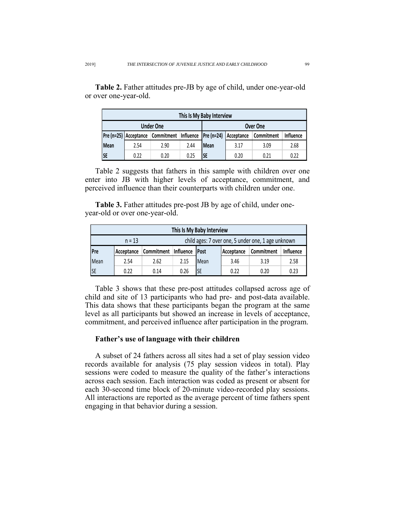| This Is My Baby Interview |                       |            |      |                       |            |            |                  |  |
|---------------------------|-----------------------|------------|------|-----------------------|------------|------------|------------------|--|
| <b>Under One</b>          |                       |            |      | Over One              |            |            |                  |  |
|                           | Pre (n=25) Acceptance | Commitment |      | Influence $Pre(n=24)$ | Acceptance | Commitment | <b>Influence</b> |  |
| <b>Mean</b>               | 2.54                  | 2.90       | 2.44 | <b>Mean</b>           | 3.17       | 3.09       | 2.68             |  |
| <b>SE</b>                 | 0.22                  | 0.20       | 0.25 | <b>SE</b>             | 0.20       | 0.21       | 0.22             |  |

**Table 2.** Father attitudes pre-JB by age of child, under one-year-old or over one-year-old.

Table 2 suggests that fathers in this sample with children over one enter into JB with higher levels of acceptance, commitment, and perceived influence than their counterparts with children under one.

**Table 3.** Father attitudes pre-post JB by age of child, under oneyear-old or over one-year-old.

| This Is My Baby Interview                                      |            |                                                                                          |      |      |      |      |      |  |
|----------------------------------------------------------------|------------|------------------------------------------------------------------------------------------|------|------|------|------|------|--|
| child ages: 7 over one, 5 under one, 1 age unknown<br>$n = 13$ |            |                                                                                          |      |      |      |      |      |  |
| <b>Pre</b>                                                     | Acceptance | Influence<br>Commitment<br><b>Influence</b><br>Commitment<br><b>Post</b><br>  Acceptance |      |      |      |      |      |  |
| Mean                                                           | 2.54       | 2.62                                                                                     | 2.15 | Mean | 3.46 | 3.19 | 2.58 |  |
| <b>SE</b>                                                      | 0.22       | 0.14                                                                                     | 0.26 | SE   | 0.22 | 0.20 | 0.23 |  |

Table 3 shows that these pre-post attitudes collapsed across age of child and site of 13 participants who had pre- and post-data available. This data shows that these participants began the program at the same level as all participants but showed an increase in levels of acceptance, commitment, and perceived influence after participation in the program.

### **Father's use of language with their children**

A subset of 24 fathers across all sites had a set of play session video records available for analysis (75 play session videos in total). Play sessions were coded to measure the quality of the father's interactions across each session. Each interaction was coded as present or absent for each 30-second time block of 20-minute video-recorded play sessions. All interactions are reported as the average percent of time fathers spent engaging in that behavior during a session.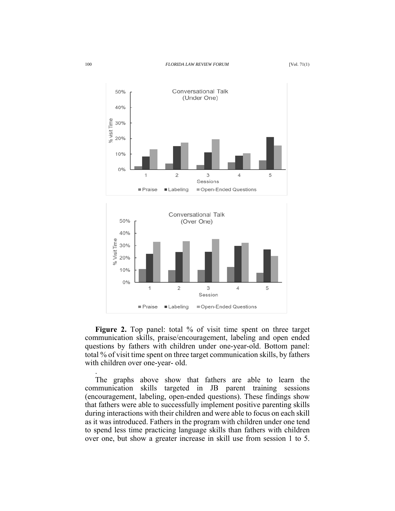

**Figure 2.** Top panel: total % of visit time spent on three target communication skills, praise/encouragement, labeling and open ended questions by fathers with children under one-year-old. Bottom panel: total % of visit time spent on three target communication skills, by fathers with children over one-year- old.

The graphs above show that fathers are able to learn the communication skills targeted in JB parent training sessions (encouragement, labeling, open-ended questions). These findings show that fathers were able to successfully implement positive parenting skills during interactions with their children and were able to focus on each skill as it was introduced. Fathers in the program with children under one tend to spend less time practicing language skills than fathers with children over one, but show a greater increase in skill use from session 1 to 5.

.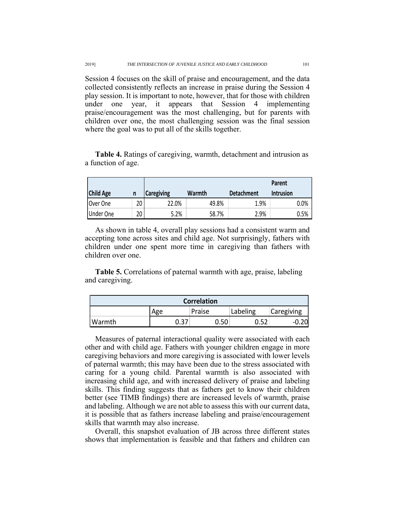Session 4 focuses on the skill of praise and encouragement, and the data collected consistently reflects an increase in praise during the Session 4 play session. It is important to note, however, that for those with children under one year, it appears that Session 4 implementing praise/encouragement was the most challenging, but for parents with children over one, the most challenging session was the final session where the goal was to put all of the skills together.

|                  |    |                   |        |                   | Parent           |
|------------------|----|-------------------|--------|-------------------|------------------|
| <b>Child Age</b> | n  | <b>Caregiving</b> | Warmth | <b>Detachment</b> | <b>Intrusion</b> |
| Over One         | 20 | 22.0%             | 49.8%  | 1.9%              | 0.0%             |
| Under One        | 20 | 5.2%              | 58.7%  | 2.9%              | 0.5%             |

**Table 4.** Ratings of caregiving, warmth, detachment and intrusion as a function of age.

As shown in table 4, overall play sessions had a consistent warm and accepting tone across sites and child age. Not surprisingly, fathers with children under one spent more time in caregiving than fathers with children over one.

**Table 5.** Correlations of paternal warmth with age, praise, labeling and caregiving.

| <b>Correlation</b> |                |        |      |          |            |  |  |
|--------------------|----------------|--------|------|----------|------------|--|--|
|                    | Age            | Praise |      | Labeling | Caregiving |  |  |
| <b>Warmth</b>      | า วร<br>ر ر. ب |        | 0.50 |          | -0         |  |  |

Measures of paternal interactional quality were associated with each other and with child age. Fathers with younger children engage in more caregiving behaviors and more caregiving is associated with lower levels of paternal warmth; this may have been due to the stress associated with caring for a young child. Parental warmth is also associated with increasing child age, and with increased delivery of praise and labeling skills. This finding suggests that as fathers get to know their children better (see TIMB findings) there are increased levels of warmth, praise and labeling. Although we are not able to assess this with our current data, it is possible that as fathers increase labeling and praise/encouragement skills that warmth may also increase.

Overall, this snapshot evaluation of JB across three different states shows that implementation is feasible and that fathers and children can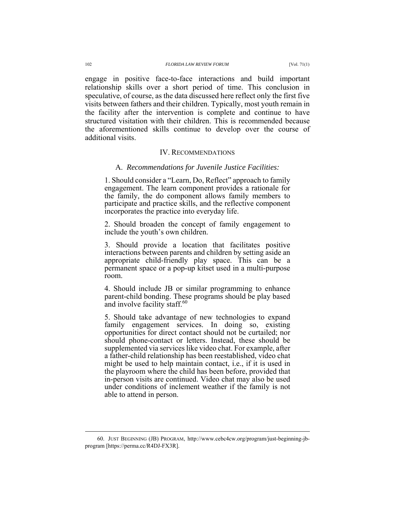engage in positive face-to-face interactions and build important relationship skills over a short period of time. This conclusion in speculative, of course, as the data discussed here reflect only the first five visits between fathers and their children. Typically, most youth remain in the facility after the intervention is complete and continue to have structured visitation with their children. This is recommended because the aforementioned skills continue to develop over the course of additional visits.

### IV. RECOMMENDATIONS

### A. *Recommendations for Juvenile Justice Facilities:*

1. Should consider a "Learn, Do, Reflect" approach to family engagement. The learn component provides a rationale for the family, the do component allows family members to participate and practice skills, and the reflective component incorporates the practice into everyday life.

2. Should broaden the concept of family engagement to include the youth's own children.

3. Should provide a location that facilitates positive interactions between parents and children by setting aside an appropriate child-friendly play space. This can be a permanent space or a pop-up kitset used in a multi-purpose room.

4. Should include JB or similar programming to enhance parent-child bonding. These programs should be play based and involve facility staff.<sup>60</sup>

5. Should take advantage of new technologies to expand family engagement services. In doing so, existing opportunities for direct contact should not be curtailed; nor should phone-contact or letters. Instead, these should be supplemented via services like video chat. For example, after a father-child relationship has been reestablished, video chat might be used to help maintain contact, i.e., if it is used in the playroom where the child has been before, provided that in-person visits are continued. Video chat may also be used under conditions of inclement weather if the family is not able to attend in person.

 <sup>60.</sup> JUST BEGINNING (JB) PROGRAM, http://www.cebc4cw.org/program/just-beginning-jbprogram [https://perma.cc/R4DJ-FX3R].